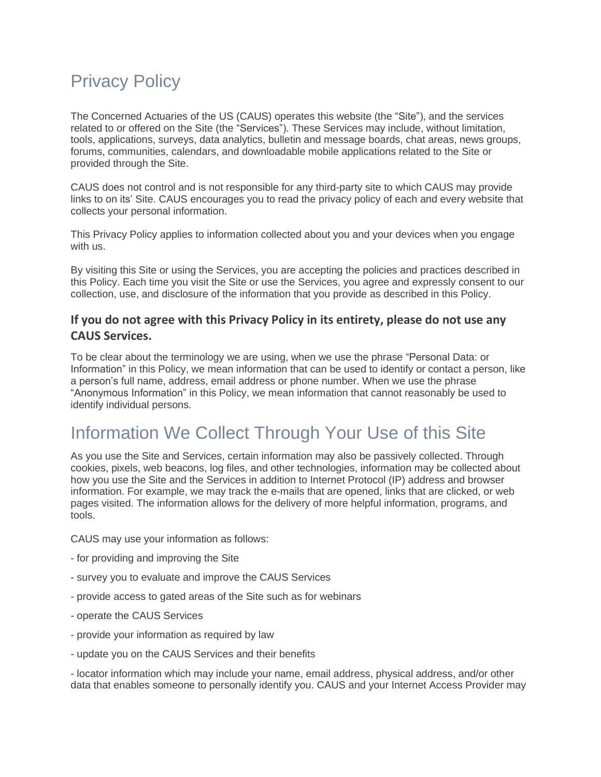# Privacy Policy

The Concerned Actuaries of the US (CAUS) operates this website (the "Site"), and the services related to or offered on the Site (the "Services"). These Services may include, without limitation, tools, applications, surveys, data analytics, bulletin and message boards, chat areas, news groups, forums, communities, calendars, and downloadable mobile applications related to the Site or provided through the Site.

CAUS does not control and is not responsible for any third-party site to which CAUS may provide links to on its' Site. CAUS encourages you to read the privacy policy of each and every website that collects your personal information.

This Privacy Policy applies to information collected about you and your devices when you engage with us.

By visiting this Site or using the Services, you are accepting the policies and practices described in this Policy. Each time you visit the Site or use the Services, you agree and expressly consent to our collection, use, and disclosure of the information that you provide as described in this Policy.

#### **If you do not agree with this Privacy Policy in its entirety, please do not use any CAUS Services.**

To be clear about the terminology we are using, when we use the phrase "Personal Data: or Information" in this Policy, we mean information that can be used to identify or contact a person, like a person's full name, address, email address or phone number. When we use the phrase "Anonymous Information" in this Policy, we mean information that cannot reasonably be used to identify individual persons.

### Information We Collect Through Your Use of this Site

As you use the Site and Services, certain information may also be passively collected. Through cookies, pixels, web beacons, log files, and other technologies, information may be collected about how you use the Site and the Services in addition to Internet Protocol (IP) address and browser information. For example, we may track the e-mails that are opened, links that are clicked, or web pages visited. The information allows for the delivery of more helpful information, programs, and tools.

CAUS may use your information as follows:

- for providing and improving the Site
- survey you to evaluate and improve the CAUS Services
- provide access to gated areas of the Site such as for webinars
- operate the CAUS Services
- provide your information as required by law
- update you on the CAUS Services and their benefits

- locator information which may include your name, email address, physical address, and/or other data that enables someone to personally identify you. CAUS and your Internet Access Provider may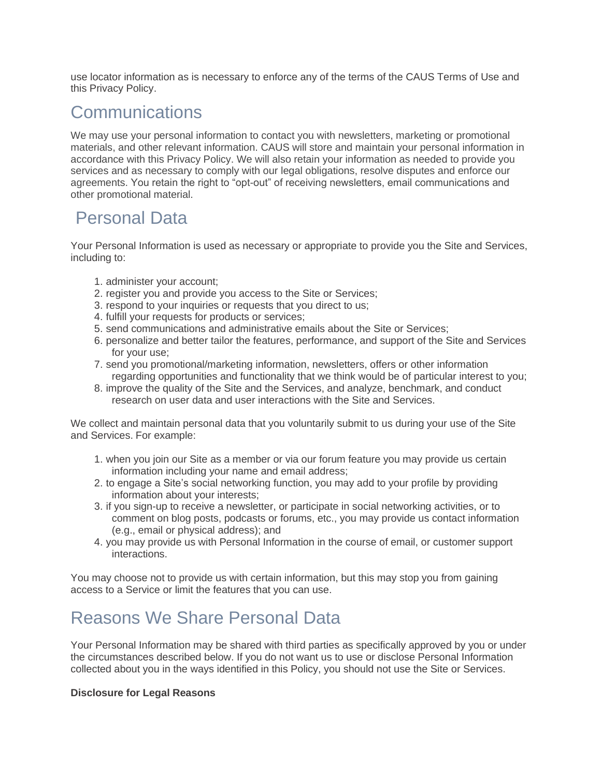use locator information as is necessary to enforce any of the terms of the CAUS Terms of Use and this Privacy Policy.

### **Communications**

We may use your personal information to contact you with newsletters, marketing or promotional materials, and other relevant information. CAUS will store and maintain your personal information in accordance with this Privacy Policy. We will also retain your information as needed to provide you services and as necessary to comply with our legal obligations, resolve disputes and enforce our agreements. You retain the right to "opt-out" of receiving newsletters, email communications and other promotional material.

### Personal Data

Your Personal Information is used as necessary or appropriate to provide you the Site and Services, including to:

- 1. administer your account;
- 2. register you and provide you access to the Site or Services;
- 3. respond to your inquiries or requests that you direct to us;
- 4. fulfill your requests for products or services;
- 5. send communications and administrative emails about the Site or Services;
- 6. personalize and better tailor the features, performance, and support of the Site and Services for your use;
- 7. send you promotional/marketing information, newsletters, offers or other information regarding opportunities and functionality that we think would be of particular interest to you;
- 8. improve the quality of the Site and the Services, and analyze, benchmark, and conduct research on user data and user interactions with the Site and Services.

We collect and maintain personal data that you voluntarily submit to us during your use of the Site and Services. For example:

- 1. when you join our Site as a member or via our forum feature you may provide us certain information including your name and email address;
- 2. to engage a Site's social networking function, you may add to your profile by providing information about your interests;
- 3. if you sign-up to receive a newsletter, or participate in social networking activities, or to comment on blog posts, podcasts or forums, etc., you may provide us contact information (e.g., email or physical address); and
- 4. you may provide us with Personal Information in the course of email, or customer support interactions.

You may choose not to provide us with certain information, but this may stop you from gaining access to a Service or limit the features that you can use.

### Reasons We Share Personal Data

Your Personal Information may be shared with third parties as specifically approved by you or under the circumstances described below. If you do not want us to use or disclose Personal Information collected about you in the ways identified in this Policy, you should not use the Site or Services.

#### **Disclosure for Legal Reasons**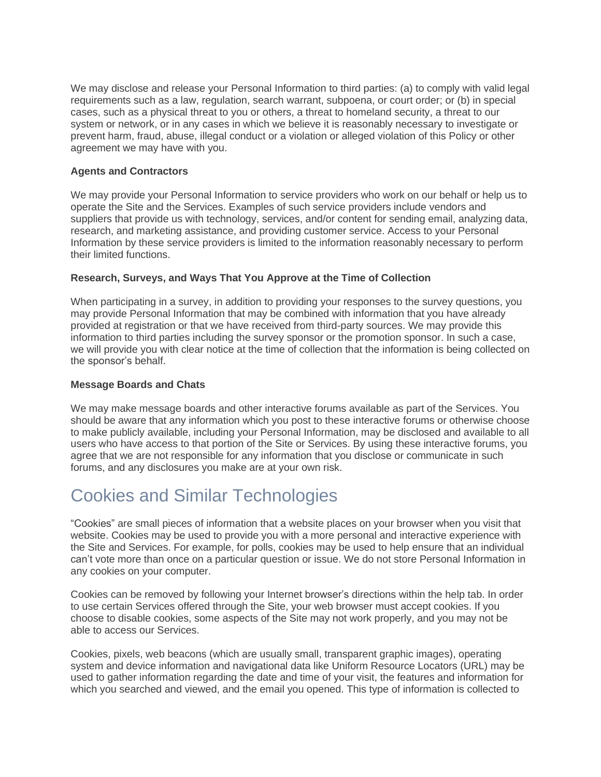We may disclose and release your Personal Information to third parties: (a) to comply with valid legal requirements such as a law, regulation, search warrant, subpoena, or court order; or (b) in special cases, such as a physical threat to you or others, a threat to homeland security, a threat to our system or network, or in any cases in which we believe it is reasonably necessary to investigate or prevent harm, fraud, abuse, illegal conduct or a violation or alleged violation of this Policy or other agreement we may have with you.

#### **Agents and Contractors**

We may provide your Personal Information to service providers who work on our behalf or help us to operate the Site and the Services. Examples of such service providers include vendors and suppliers that provide us with technology, services, and/or content for sending email, analyzing data, research, and marketing assistance, and providing customer service. Access to your Personal Information by these service providers is limited to the information reasonably necessary to perform their limited functions.

#### **Research, Surveys, and Ways That You Approve at the Time of Collection**

When participating in a survey, in addition to providing your responses to the survey questions, you may provide Personal Information that may be combined with information that you have already provided at registration or that we have received from third-party sources. We may provide this information to third parties including the survey sponsor or the promotion sponsor. In such a case, we will provide you with clear notice at the time of collection that the information is being collected on the sponsor's behalf.

#### **Message Boards and Chats**

We may make message boards and other interactive forums available as part of the Services. You should be aware that any information which you post to these interactive forums or otherwise choose to make publicly available, including your Personal Information, may be disclosed and available to all users who have access to that portion of the Site or Services. By using these interactive forums, you agree that we are not responsible for any information that you disclose or communicate in such forums, and any disclosures you make are at your own risk.

### Cookies and Similar Technologies

"Cookies" are small pieces of information that a website places on your browser when you visit that website. Cookies may be used to provide you with a more personal and interactive experience with the Site and Services. For example, for polls, cookies may be used to help ensure that an individual can't vote more than once on a particular question or issue. We do not store Personal Information in any cookies on your computer.

Cookies can be removed by following your Internet browser's directions within the help tab. In order to use certain Services offered through the Site, your web browser must accept cookies. If you choose to disable cookies, some aspects of the Site may not work properly, and you may not be able to access our Services.

Cookies, pixels, web beacons (which are usually small, transparent graphic images), operating system and device information and navigational data like Uniform Resource Locators (URL) may be used to gather information regarding the date and time of your visit, the features and information for which you searched and viewed, and the email you opened. This type of information is collected to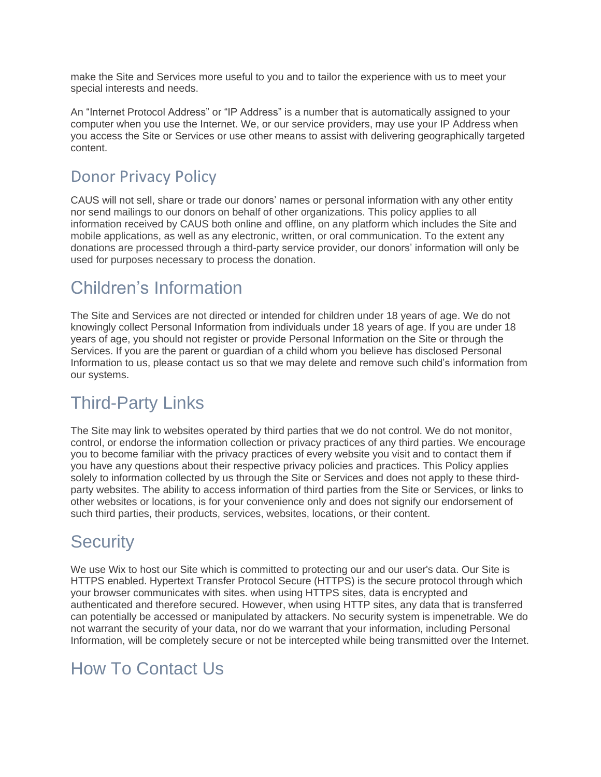make the Site and Services more useful to you and to tailor the experience with us to meet your special interests and needs.

An "Internet Protocol Address" or "IP Address" is a number that is automatically assigned to your computer when you use the Internet. We, or our service providers, may use your IP Address when you access the Site or Services or use other means to assist with delivering geographically targeted content.

### Donor Privacy Policy

CAUS will not sell, share or trade our donors' names or personal information with any other entity nor send mailings to our donors on behalf of other organizations. This policy applies to all information received by CAUS both online and offline, on any platform which includes the Site and mobile applications, as well as any electronic, written, or oral communication. To the extent any donations are processed through a third-party service provider, our donors' information will only be used for purposes necessary to process the donation.

### Children's Information

The Site and Services are not directed or intended for children under 18 years of age. We do not knowingly collect Personal Information from individuals under 18 years of age. If you are under 18 years of age, you should not register or provide Personal Information on the Site or through the Services. If you are the parent or guardian of a child whom you believe has disclosed Personal Information to us, please contact us so that we may delete and remove such child's information from our systems.

### Third-Party Links

The Site may link to websites operated by third parties that we do not control. We do not monitor, control, or endorse the information collection or privacy practices of any third parties. We encourage you to become familiar with the privacy practices of every website you visit and to contact them if you have any questions about their respective privacy policies and practices. This Policy applies solely to information collected by us through the Site or Services and does not apply to these thirdparty websites. The ability to access information of third parties from the Site or Services, or links to other websites or locations, is for your convenience only and does not signify our endorsement of such third parties, their products, services, websites, locations, or their content.

### **Security**

We use Wix to host our Site which is committed to protecting our and our user's data. Our Site is HTTPS enabled. Hypertext Transfer Protocol Secure (HTTPS) is the secure protocol through which your browser communicates with sites. when using HTTPS sites, data is encrypted and authenticated and therefore secured. However, when using HTTP sites, any data that is transferred can potentially be accessed or manipulated by attackers. No security system is impenetrable. We do not warrant the security of your data, nor do we warrant that your information, including Personal Information, will be completely secure or not be intercepted while being transmitted over the Internet.

## How To Contact Us